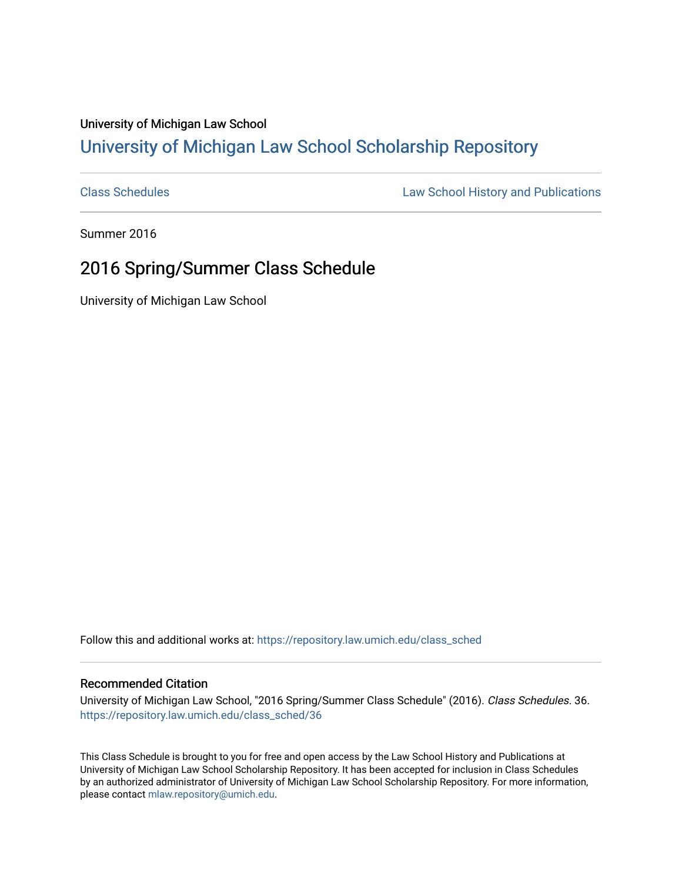## University of Michigan Law School [University of Michigan Law School Scholarship Repository](https://repository.law.umich.edu/)

[Class Schedules](https://repository.law.umich.edu/class_sched) **Law School History and Publications** 

Summer 2016

## 2016 Spring/Summer Class Schedule

University of Michigan Law School

Follow this and additional works at: [https://repository.law.umich.edu/class\\_sched](https://repository.law.umich.edu/class_sched?utm_source=repository.law.umich.edu%2Fclass_sched%2F36&utm_medium=PDF&utm_campaign=PDFCoverPages) 

## Recommended Citation

University of Michigan Law School, "2016 Spring/Summer Class Schedule" (2016). Class Schedules. 36. [https://repository.law.umich.edu/class\\_sched/36](https://repository.law.umich.edu/class_sched/36?utm_source=repository.law.umich.edu%2Fclass_sched%2F36&utm_medium=PDF&utm_campaign=PDFCoverPages)

This Class Schedule is brought to you for free and open access by the Law School History and Publications at University of Michigan Law School Scholarship Repository. It has been accepted for inclusion in Class Schedules by an authorized administrator of University of Michigan Law School Scholarship Repository. For more information, please contact [mlaw.repository@umich.edu.](mailto:mlaw.repository@umich.edu)